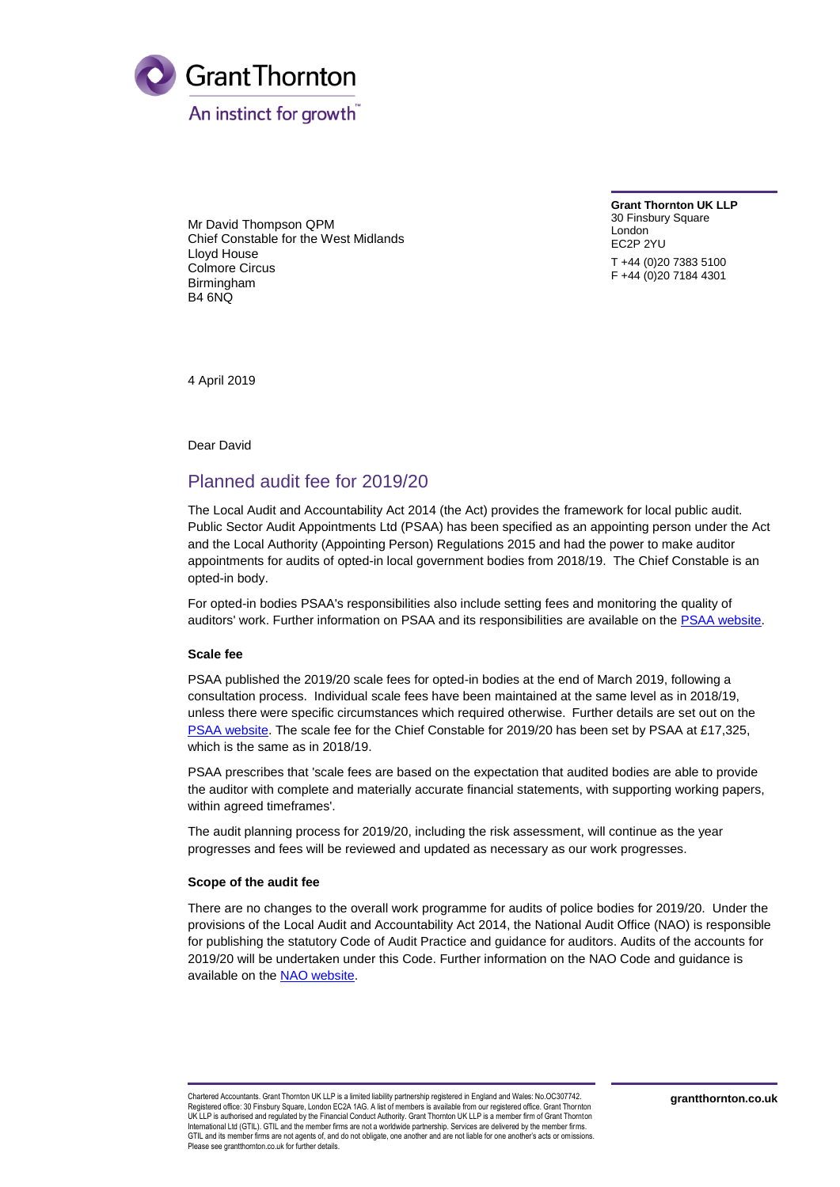

Mr David Thompson QPM Chief Constable for the West Midlands Lloyd House Colmore Circus Birmingham B4 6NQ

**Grant Thornton UK LLP** 30 Finsbury Square London EC2P 2YU T +44 (0)20 7383 5100 F +44 (0)20 7184 4301

4 April 2019

Dear David

# Planned audit fee for 2019/20

The Local Audit and Accountability Act 2014 (the Act) provides the framework for local public audit. Public Sector Audit Appointments Ltd (PSAA) has been specified as an appointing person under the Act and the Local Authority (Appointing Person) Regulations 2015 and had the power to make auditor appointments for audits of opted-in local government bodies from 2018/19. The Chief Constable is an opted-in body.

For opted-in bodies PSAA's responsibilities also include setting fees and monitoring the quality of auditors' work. Further information on PSAA and its responsibilities are available on th[e PSAA website.](http://www.psaa.co.uk/about-us/what-we-do/)

### **Scale fee**

PSAA published the 2019/20 scale fees for opted-in bodies at the end of March 2019, following a consultation process. Individual scale fees have been maintained at the same level as in 2018/19, unless there were specific circumstances which required otherwise. Further details are set out on the [PSAA website.](https://www.psaa.co.uk/audit-fees/2019-20-audit-fee-scale/) The scale fee for the Chief Constable for 2019/20 has been set by PSAA at £17,325, which is the same as in 2018/19.

PSAA prescribes that 'scale fees are based on the expectation that audited bodies are able to provide the auditor with complete and materially accurate financial statements, with supporting working papers, within agreed timeframes'.

The audit planning process for 2019/20, including the risk assessment, will continue as the year progresses and fees will be reviewed and updated as necessary as our work progresses.

### **Scope of the audit fee**

There are no changes to the overall work programme for audits of police bodies for 2019/20. Under the provisions of the Local Audit and Accountability Act 2014, the National Audit Office (NAO) is responsible for publishing the statutory Code of Audit Practice and guidance for auditors. Audits of the accounts for 2019/20 will be undertaken under this Code. Further information on the NAO Code and guidance is available on the NAO [website.](https://www.nao.org.uk/code-audit-practice/)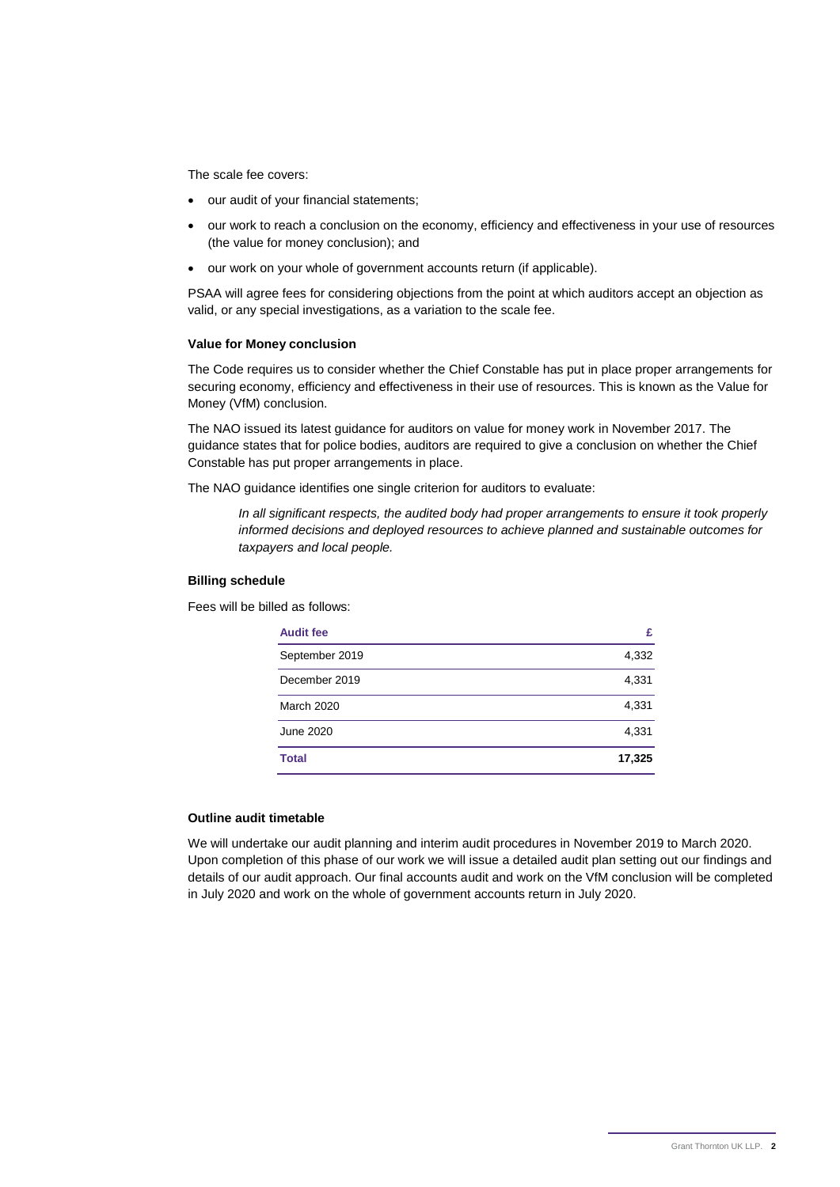The scale fee covers:

- our audit of your financial statements;
- our work to reach a conclusion on the economy, efficiency and effectiveness in your use of resources (the value for money conclusion); and
- our work on your whole of government accounts return (if applicable).

PSAA will agree fees for considering objections from the point at which auditors accept an objection as valid, or any special investigations, as a variation to the scale fee.

#### **Value for Money conclusion**

The Code requires us to consider whether the Chief Constable has put in place proper arrangements for securing economy, efficiency and effectiveness in their use of resources. This is known as the Value for Money (VfM) conclusion.

The NAO issued its latest guidance for auditors on value for money work in November 2017. The guidance states that for police bodies, auditors are required to give a conclusion on whether the Chief Constable has put proper arrangements in place.

The NAO guidance identifies one single criterion for auditors to evaluate:

*In all significant respects, the audited body had proper arrangements to ensure it took properly informed decisions and deployed resources to achieve planned and sustainable outcomes for taxpayers and local people.*

### **Billing schedule**

Fees will be billed as follows:

| <b>Audit fee</b>  | £      |
|-------------------|--------|
| September 2019    | 4,332  |
| December 2019     | 4,331  |
| <b>March 2020</b> | 4,331  |
| June 2020         | 4,331  |
| <b>Total</b>      | 17,325 |

#### **Outline audit timetable**

We will undertake our audit planning and interim audit procedures in November 2019 to March 2020. Upon completion of this phase of our work we will issue a detailed audit plan setting out our findings and details of our audit approach. Our final accounts audit and work on the VfM conclusion will be completed in July 2020 and work on the whole of government accounts return in July 2020.